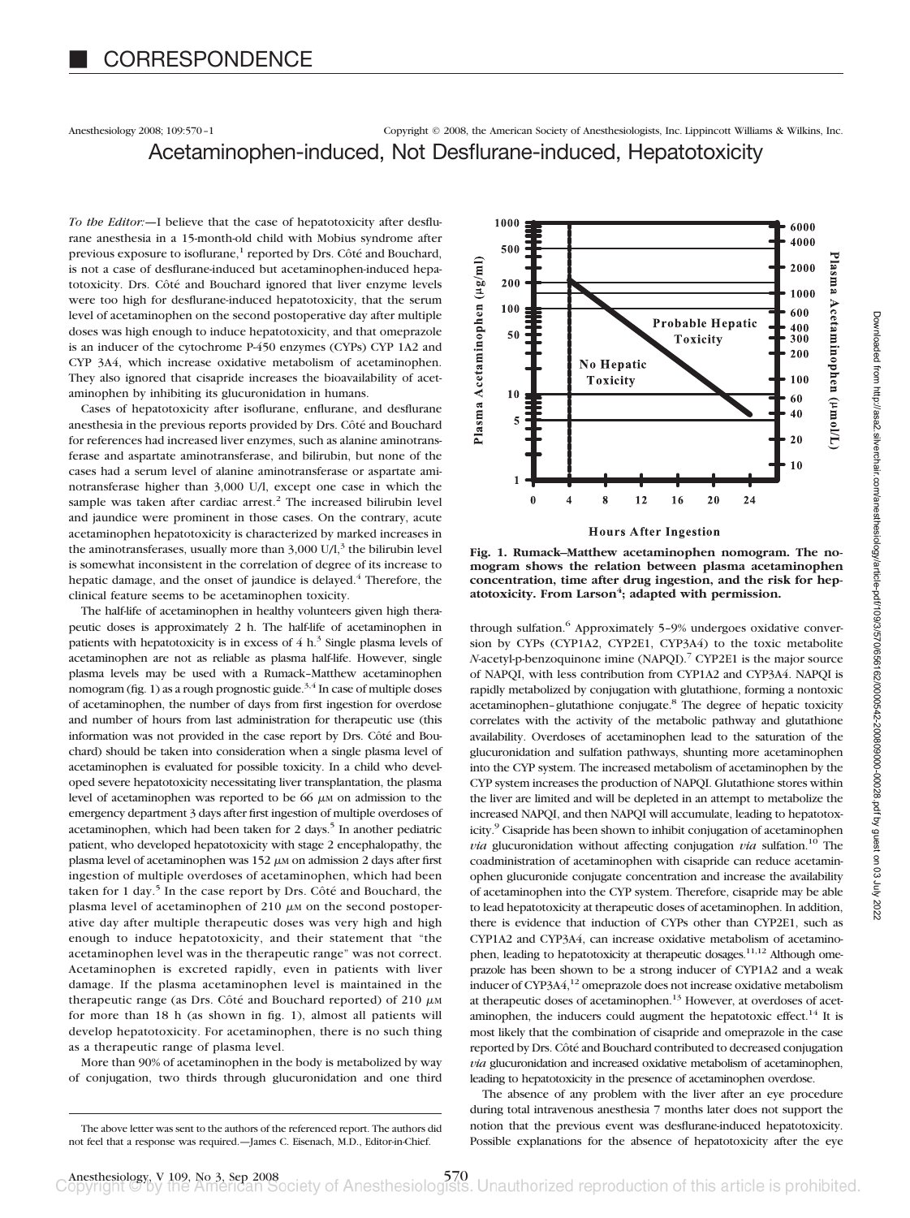Anesthesiology 2008; 109:570–1 Copyright © 2008, the American Society of Anesthesiologists, Inc. Lippincott Williams & Wilkins, Inc. Acetaminophen-induced, Not Desflurane-induced, Hepatotoxicity

*To the Editor:—*I believe that the case of hepatotoxicity after desflurane anesthesia in a 15-month-old child with Mobius syndrome after previous exposure to isoflurane,<sup>1</sup> reported by Drs. Côté and Bouchard, is not a case of desflurane-induced but acetaminophen-induced hepatotoxicity. Drs. Côté and Bouchard ignored that liver enzyme levels were too high for desflurane-induced hepatotoxicity, that the serum level of acetaminophen on the second postoperative day after multiple doses was high enough to induce hepatotoxicity, and that omeprazole is an inducer of the cytochrome P-450 enzymes (CYPs) CYP 1A2 and CYP 3A4, which increase oxidative metabolism of acetaminophen. They also ignored that cisapride increases the bioavailability of acetaminophen by inhibiting its glucuronidation in humans.

Cases of hepatotoxicity after isoflurane, enflurane, and desflurane anesthesia in the previous reports provided by Drs. Côté and Bouchard for references had increased liver enzymes, such as alanine aminotransferase and aspartate aminotransferase, and bilirubin, but none of the cases had a serum level of alanine aminotransferase or aspartate aminotransferase higher than 3,000 U/l, except one case in which the sample was taken after cardiac arrest.<sup>2</sup> The increased bilirubin level and jaundice were prominent in those cases. On the contrary, acute acetaminophen hepatotoxicity is characterized by marked increases in the aminotransferases, usually more than  $3,000$  U/l,<sup>3</sup> the bilirubin level is somewhat inconsistent in the correlation of degree of its increase to hepatic damage, and the onset of jaundice is delayed.<sup>4</sup> Therefore, the clinical feature seems to be acetaminophen toxicity.

The half-life of acetaminophen in healthy volunteers given high therapeutic doses is approximately 2 h. The half-life of acetaminophen in patients with hepatotoxicity is in excess of  $4 h<sup>3</sup>$  Single plasma levels of acetaminophen are not as reliable as plasma half-life. However, single plasma levels may be used with a Rumack–Matthew acetaminophen nomogram (fig. 1) as a rough prognostic guide.<sup>3,4</sup> In case of multiple doses of acetaminophen, the number of days from first ingestion for overdose and number of hours from last administration for therapeutic use (this information was not provided in the case report by Drs. Côté and Bouchard) should be taken into consideration when a single plasma level of acetaminophen is evaluated for possible toxicity. In a child who developed severe hepatotoxicity necessitating liver transplantation, the plasma level of acetaminophen was reported to be 66  $\mu$ M on admission to the emergency department 3 days after first ingestion of multiple overdoses of acetaminophen, which had been taken for 2 days.<sup>5</sup> In another pediatric patient, who developed hepatotoxicity with stage 2 encephalopathy, the plasma level of acetaminophen was  $152 \mu$ M on admission 2 days after first ingestion of multiple overdoses of acetaminophen, which had been taken for 1 day.<sup>5</sup> In the case report by Drs. Côté and Bouchard, the plasma level of acetaminophen of 210  $\mu$ M on the second postoperative day after multiple therapeutic doses was very high and high enough to induce hepatotoxicity, and their statement that "the acetaminophen level was in the therapeutic range" was not correct. Acetaminophen is excreted rapidly, even in patients with liver damage. If the plasma acetaminophen level is maintained in the therapeutic range (as Drs. Côté and Bouchard reported) of 210  $\mu$ M for more than 18 h (as shown in fig. 1), almost all patients will develop hepatotoxicity. For acetaminophen, there is no such thing as a therapeutic range of plasma level.

More than 90% of acetaminophen in the body is metabolized by way of conjugation, two thirds through glucuronidation and one third



**Fig. 1. Rumack–Matthew acetaminophen nomogram. The nomogram shows the relation between plasma acetaminophen concentration, time after drug ingestion, and the risk for hep**atotoxicity. From Larson<sup>4</sup>; adapted with permission.

through sulfation.<sup>6</sup> Approximately 5-9% undergoes oxidative conversion by CYPs (CYP1A2, CYP2E1, CYP3A4) to the toxic metabolite *N*-acetyl-p-benzoquinone imine (NAPQI).7 CYP2E1 is the major source of NAPQI, with less contribution from CYP1A2 and CYP3A4. NAPQI is rapidly metabolized by conjugation with glutathione, forming a nontoxic acetaminophen–glutathione conjugate.<sup>8</sup> The degree of hepatic toxicity correlates with the activity of the metabolic pathway and glutathione availability. Overdoses of acetaminophen lead to the saturation of the glucuronidation and sulfation pathways, shunting more acetaminophen into the CYP system. The increased metabolism of acetaminophen by the CYP system increases the production of NAPQI. Glutathione stores within the liver are limited and will be depleted in an attempt to metabolize the increased NAPQI, and then NAPQI will accumulate, leading to hepatotoxicity.<sup>9</sup> Cisapride has been shown to inhibit conjugation of acetaminophen *via* glucuronidation without affecting conjugation *via* sulfation.<sup>10</sup> The coadministration of acetaminophen with cisapride can reduce acetaminophen glucuronide conjugate concentration and increase the availability of acetaminophen into the CYP system. Therefore, cisapride may be able to lead hepatotoxicity at therapeutic doses of acetaminophen. In addition, there is evidence that induction of CYPs other than CYP2E1, such as CYP1A2 and CYP3A4, can increase oxidative metabolism of acetaminophen, leading to hepatotoxicity at therapeutic dosages.<sup>11,12</sup> Although omeprazole has been shown to be a strong inducer of CYP1A2 and a weak inducer of CYP3A4,<sup>12</sup> omeprazole does not increase oxidative metabolism at therapeutic doses of acetaminophen.<sup>13</sup> However, at overdoses of acetaminophen, the inducers could augment the hepatotoxic effect.<sup>14</sup> It is most likely that the combination of cisapride and omeprazole in the case reported by Drs. Côté and Bouchard contributed to decreased conjugation *via* glucuronidation and increased oxidative metabolism of acetaminophen, leading to hepatotoxicity in the presence of acetaminophen overdose.

The absence of any problem with the liver after an eye procedure during total intravenous anesthesia 7 months later does not support the notion that the previous event was desflurane-induced hepatotoxicity. Possible explanations for the absence of hepatotoxicity after the eye

The above letter was sent to the authors of the referenced report. The authors did not feel that a response was required.—James C. Eisenach, M.D., Editor-in-Chief.